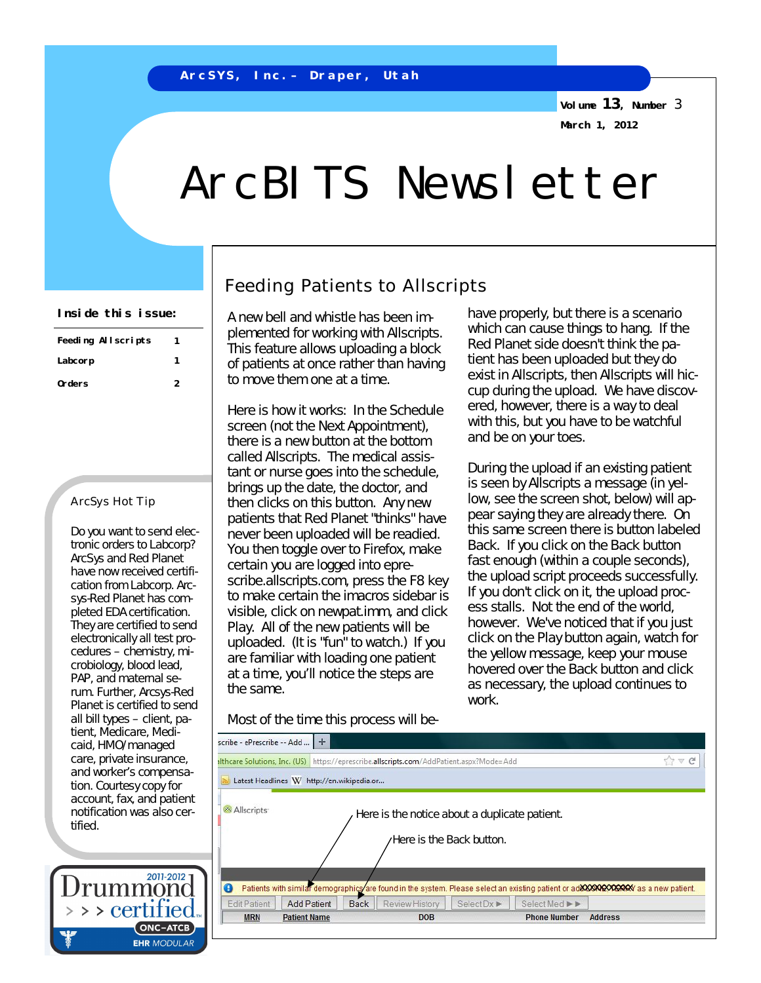**Volume 13, Number** 3 **March 1, 2012**

# ArcBITS Newsletter

| Feeding Allscripts | 1 |
|--------------------|---|
| Labcorp            |   |
| Orders             | 2 |

### ArcSys Hot Tip

Do you want to send electronic orders to Labcorp? ArcSys and Red Planet have now received certification from Labcorp. Arcsys-Red Planet has completed EDA certification. They are certified to send electronically all test procedures – chemistry, microbiology, blood lead, PAP, and maternal serum. Further, Arcsys-Red Planet is certified to send all bill types – client, patient, Medicare, Medicaid, HMO/managed care, private insurance, and worker's compensation. Courtesy copy for account, fax, and patient notification was also certified.



## Feeding Patients to Allscripts

A new bell and whistle has been implemented for working with Allscripts. This feature allows uploading a block of patients at once rather than having to move them one at a time.

Here is how it works: In the Schedule screen (not the Next Appointment), there is a new button at the bottom called Allscripts. The medical assistant or nurse goes into the schedule, brings up the date, the doctor, and then clicks on this button. Any new patients that Red Planet "thinks" have never been uploaded will be readied. You then toggle over to Firefox, make certain you are logged into eprescribe.allscripts.com, press the F8 key to make certain the imacros sidebar is visible, click on newpat.imm, and click Play. All of the new patients will be uploaded. (It is "fun" to watch.) If you are familiar with loading one patient at a time, you'll notice the steps are the same.

Most of the time this process will be-

**Inside this issue:**  $\begin{vmatrix} \Delta & \Delta & \Delta \\ \Delta & \Delta & \Delta \end{vmatrix}$  and whistle has been im. have properly, but there is a scenario which can cause things to hang. If the Red Planet side doesn't think the patient has been uploaded but they do exist in Allscripts, then Allscripts will hiccup during the upload. We have discovered, however, there is a way to deal with this, but you have to be watchful and be on your toes.

> During the upload if an existing patient is seen by Allscripts a message (in yellow, see the screen shot, below) will appear saying they are already there. On this same screen there is button labeled Back. If you click on the Back button fast enough (within a couple seconds), the upload script proceeds successfully. If you don't click on it, the upload process stalls. Not the end of the world, however. We've noticed that if you just click on the Play button again, watch for the yellow message, keep your mouse hovered over the Back button and click as necessary, the upload continues to work.

| scribe - ePrescribe -- Add | $+$                                       | <b>althcare Solutions, Inc. (US)</b> https://eprescribe.allscripts.com/AddPatient.aspx?Mode=Add |                |                                                                           |               |  |
|----------------------------|-------------------------------------------|-------------------------------------------------------------------------------------------------|----------------|---------------------------------------------------------------------------|---------------|--|
|                            | Latest Headlines W http://en.wikipedia.or |                                                                                                 |                |                                                                           |               |  |
| Allscripts                 |                                           |                                                                                                 |                | Here is the notice about a duplicate patient.<br>Here is the Back button. |               |  |
| Ø                          |                                           |                                                                                                 |                |                                                                           |               |  |
| <b>Edit Patient</b>        | <b>Add Patient</b>                        | <b>Back</b>                                                                                     | Review History | $Select$ $\triangleright$                                                 | Select Med ▶▶ |  |
|                            | <b>Patient Name</b>                       |                                                                                                 |                |                                                                           |               |  |